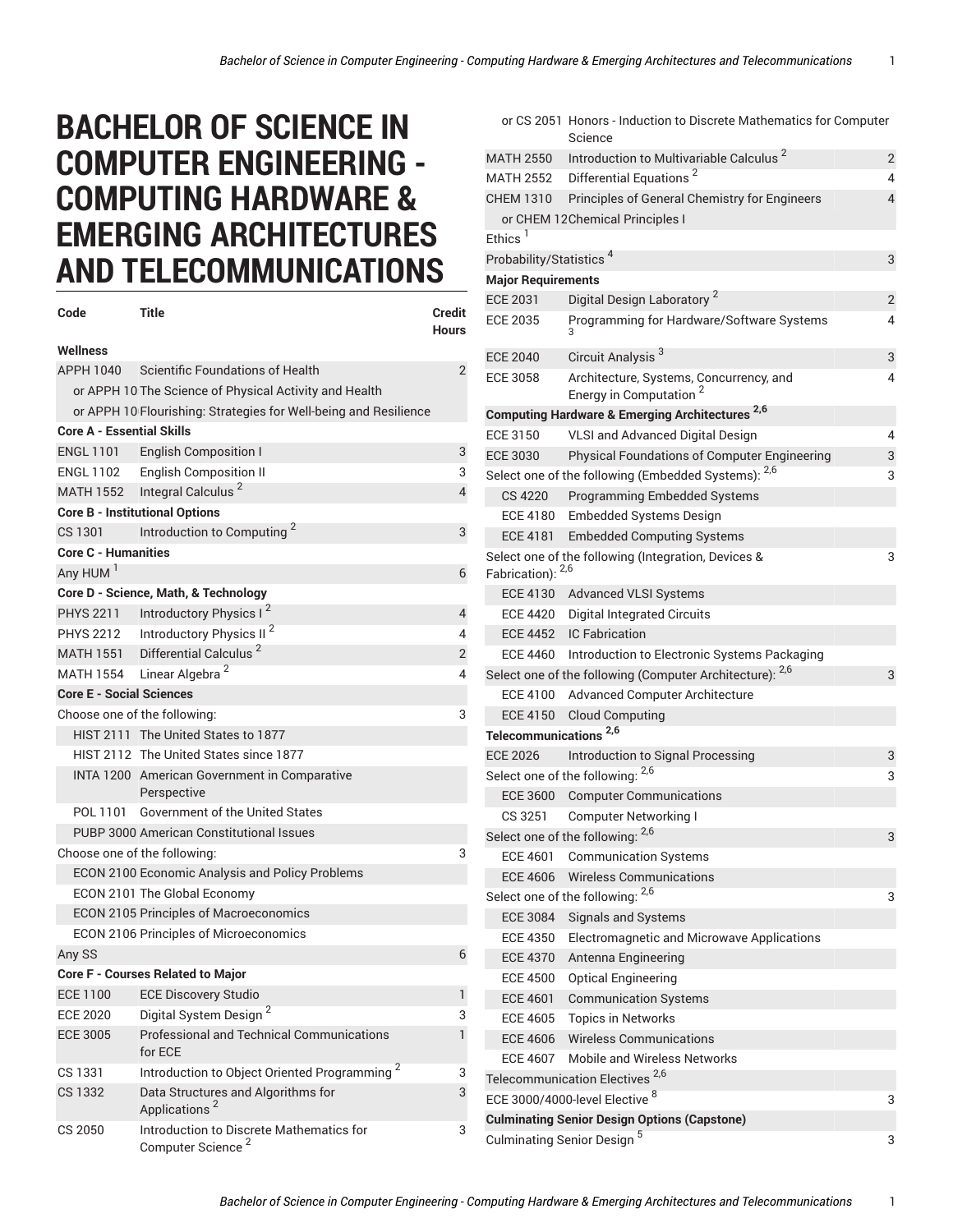## **BACHELOR OF SCIENCE IN COMPUTER ENGINEERING - COMPUTING HARDWARE & EMERGING ARCHITECTURES AND TELECOMMUNICATIONS**

| Code                              | Title                                                                     | <b>Credit</b><br>Hours |  |
|-----------------------------------|---------------------------------------------------------------------------|------------------------|--|
| Wellness                          |                                                                           |                        |  |
| APPH 1040                         | Scientific Foundations of Health                                          | $\overline{2}$         |  |
|                                   | or APPH 10 The Science of Physical Activity and Health                    |                        |  |
|                                   | or APPH 10 Flourishing: Strategies for Well-being and Resilience          |                        |  |
| <b>Core A - Essential Skills</b>  |                                                                           |                        |  |
| <b>ENGL 1101</b>                  | English Composition I                                                     | 3                      |  |
| <b>ENGL 1102</b>                  | <b>English Composition II</b>                                             | 3                      |  |
|                                   | MATH 1552 Integral Calculus <sup>2</sup>                                  | $\overline{4}$         |  |
|                                   | <b>Core B - Institutional Options</b>                                     |                        |  |
| CS 1301                           | Introduction to Computing <sup>2</sup>                                    | 3                      |  |
| <b>Core C - Humanities</b>        |                                                                           |                        |  |
| Any HUM <sup>1</sup>              |                                                                           | 6                      |  |
|                                   | Core D - Science, Math, & Technology                                      |                        |  |
| <b>PHYS 2211</b>                  | Introductory Physics I <sup>2</sup>                                       | 4                      |  |
| <b>PHYS 2212</b>                  | Introductory Physics II <sup>2</sup>                                      | 4                      |  |
|                                   | MATH 1551 Differential Calculus <sup>2</sup>                              | 2                      |  |
|                                   | MATH 1554 Linear Algebra <sup>2</sup>                                     | 4                      |  |
| <b>Core E - Social Sciences</b>   |                                                                           |                        |  |
| Choose one of the following:<br>3 |                                                                           |                        |  |
|                                   | HIST 2111 The United States to 1877                                       |                        |  |
|                                   | HIST 2112 The United States since 1877                                    |                        |  |
|                                   | INTA 1200 American Government in Comparative<br>Perspective               |                        |  |
| POL 1101                          | Government of the United States                                           |                        |  |
|                                   | PUBP 3000 American Constitutional Issues                                  |                        |  |
| Choose one of the following:<br>3 |                                                                           |                        |  |
|                                   | ECON 2100 Economic Analysis and Policy Problems                           |                        |  |
|                                   | ECON 2101 The Global Economy                                              |                        |  |
|                                   | <b>ECON 2105 Principles of Macroeconomics</b>                             |                        |  |
|                                   | ECON 2106 Principles of Microeconomics                                    |                        |  |
| Any SS                            |                                                                           | 6                      |  |
|                                   | <b>Core F - Courses Related to Major</b>                                  |                        |  |
| <b>ECE 1100</b>                   | <b>ECE Discovery Studio</b>                                               | 1                      |  |
| <b>ECE 2020</b>                   | Digital System Design <sup>2</sup>                                        | 3                      |  |
| <b>ECE 3005</b>                   | Professional and Technical Communications<br>for ECE                      | 1                      |  |
| CS 1331                           | Introduction to Object Oriented Programming <sup>2</sup>                  | 3                      |  |
| CS 1332                           | Data Structures and Algorithms for<br>Applications <sup>2</sup>           | 3                      |  |
| CS 2050                           | Introduction to Discrete Mathematics for<br>Computer Science <sup>2</sup> | 3                      |  |

|                                        | or CS 2051 Honors - Induction to Discrete Mathematics for Computer<br>Science |                |  |
|----------------------------------------|-------------------------------------------------------------------------------|----------------|--|
| <b>MATH 2550</b>                       | Introduction to Multivariable Calculus <sup>2</sup>                           | $\overline{2}$ |  |
| <b>MATH 2552</b>                       | Differential Equations <sup>2</sup>                                           | 4              |  |
| <b>CHEM 1310</b>                       | Principles of General Chemistry for Engineers                                 | 4              |  |
|                                        | or CHEM 12 Chemical Principles I                                              |                |  |
| $Fthics$ <sup>1</sup>                  |                                                                               |                |  |
| Probability/Statistics <sup>4</sup>    |                                                                               | 3              |  |
| <b>Major Requirements</b>              |                                                                               |                |  |
| <b>ECE 2031</b>                        | Digital Design Laboratory <sup>2</sup>                                        | $\overline{2}$ |  |
| <b>ECE 2035</b>                        | Programming for Hardware/Software Systems                                     | 4              |  |
| <b>ECE 2040</b>                        | Circuit Analysis <sup>3</sup>                                                 | 3              |  |
| ECE 3058                               | Architecture, Systems, Concurrency, and<br>Energy in Computation <sup>2</sup> | 4              |  |
|                                        | <b>Computing Hardware &amp; Emerging Architectures 2,6</b>                    |                |  |
| <b>ECE 3150</b>                        | VLSI and Advanced Digital Design                                              | 4              |  |
| <b>ECE 3030</b>                        | Physical Foundations of Computer Engineering                                  | 3              |  |
|                                        | Select one of the following (Embedded Systems): 2,6                           | 3              |  |
| <b>CS 4220</b>                         | Programming Embedded Systems                                                  |                |  |
| ECE 4180                               | <b>Embedded Systems Design</b>                                                |                |  |
| <b>ECE 4181</b>                        | <b>Embedded Computing Systems</b>                                             |                |  |
| Fabrication): 2,6                      | Select one of the following (Integration, Devices &                           | 3              |  |
|                                        | ECE 4130 Advanced VLSI Systems                                                |                |  |
|                                        | ECE 4420 Digital Integrated Circuits                                          |                |  |
| <b>ECE 4452</b>                        | <b>IC Fabrication</b>                                                         |                |  |
| ECE 4460                               | Introduction to Electronic Systems Packaging                                  |                |  |
|                                        | Select one of the following (Computer Architecture): 2,6                      | 3              |  |
| ECE 4100                               | Advanced Computer Architecture                                                |                |  |
|                                        | ECE 4150 Cloud Computing                                                      |                |  |
| Telecommunications <sup>2,6</sup>      |                                                                               |                |  |
| <b>ECE 2026</b>                        | Introduction to Signal Processing                                             | 3              |  |
|                                        | Select one of the following: 2,6                                              | 3              |  |
| <b>ECE 3600</b>                        | <b>Computer Communications</b>                                                |                |  |
| CS 3251                                | <b>Computer Networking I</b>                                                  |                |  |
|                                        | Select one of the following: 2,6                                              | 3              |  |
| FCF 4601                               | <b>Communication Systems</b>                                                  |                |  |
| <b>ECE 4606</b>                        | <b>Wireless Communications</b>                                                |                |  |
|                                        | Select one of the following: 2,6                                              | 3              |  |
| <b>ECE 3084</b>                        | <b>Signals and Systems</b>                                                    |                |  |
| ECE 4350                               | Electromagnetic and Microwave Applications                                    |                |  |
| <b>ECE 4370</b>                        | Antenna Engineering                                                           |                |  |
| ECE 4500                               | <b>Optical Engineering</b>                                                    |                |  |
| <b>ECE 4601</b>                        | <b>Communication Systems</b>                                                  |                |  |
| ECE 4605                               | <b>Topics in Networks</b>                                                     |                |  |
| ECE 4606                               | <b>Wireless Communications</b>                                                |                |  |
| ECE 4607                               | <b>Mobile and Wireless Networks</b>                                           |                |  |
|                                        | Telecommunication Electives <sup>2,6</sup>                                    |                |  |
|                                        | ECE 3000/4000-level Elective <sup>8</sup>                                     | 3              |  |
|                                        | <b>Culminating Senior Design Options (Capstone)</b>                           |                |  |
| Culminating Senior Design <sup>5</sup> |                                                                               |                |  |